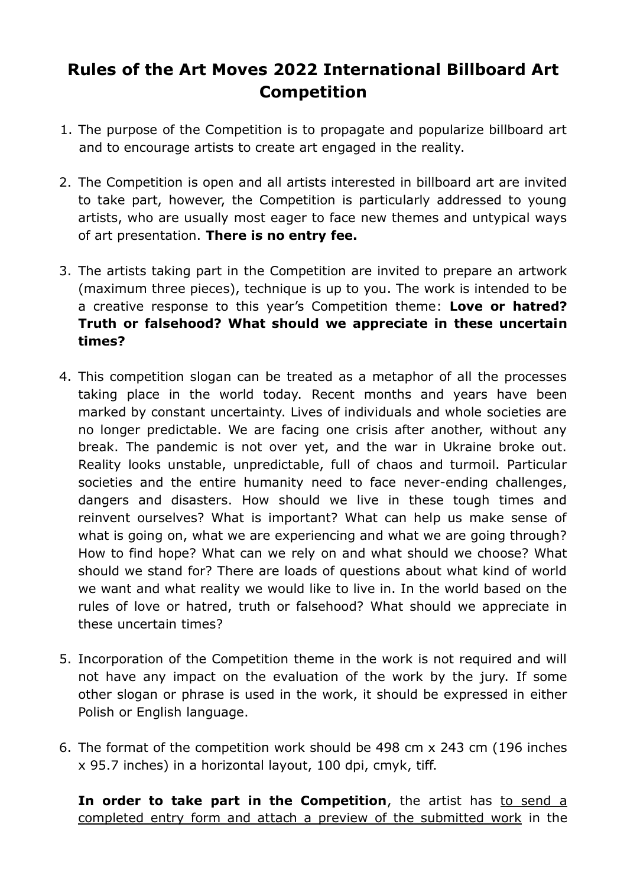## **Rules of the Art Moves 2022 International Billboard Art Competition**

- 1. The purpose of the Competition is to propagate and popularize billboard art and to encourage artists to create art engaged in the reality.
- 2. The Competition is open and all artists interested in billboard art are invited to take part, however, the Competition is particularly addressed to young artists, who are usually most eager to face new themes and untypical ways of art presentation. **There is no entry fee.**
- 3. The artists taking part in the Competition are invited to prepare an artwork (maximum three pieces), technique is up to you. The work is intended to be a creative response to this year's Competition theme: **Love or hatred? Truth or falsehood? What should we appreciate in these uncertain times?**
- 4. This competition slogan can be treated as a metaphor of all the processes taking place in the world today. Recent months and years have been marked by constant uncertainty. Lives of individuals and whole societies are no longer predictable. We are facing one crisis after another, without any break. The pandemic is not over yet, and the war in Ukraine broke out. Reality looks unstable, unpredictable, full of chaos and turmoil. Particular societies and the entire humanity need to face never-ending challenges, dangers and disasters. How should we live in these tough times and reinvent ourselves? What is important? What can help us make sense of what is going on, what we are experiencing and what we are going through? How to find hope? What can we rely on and what should we choose? What should we stand for? There are loads of questions about what kind of world we want and what reality we would like to live in. In the world based on the rules of love or hatred, truth or falsehood? What should we appreciate in these uncertain times?
- 5. Incorporation of the Competition theme in the work is not required and will not have any impact on the evaluation of the work by the jury. If some other slogan or phrase is used in the work, it should be expressed in either Polish or English language.
- 6. The format of the competition work should be 498 cm x 243 cm (196 inches x 95.7 inches) in a horizontal layout, 100 dpi, cmyk, tiff.

**In order to take part in the Competition**, the artist has to send a completed entry form and attach a preview of the submitted work in the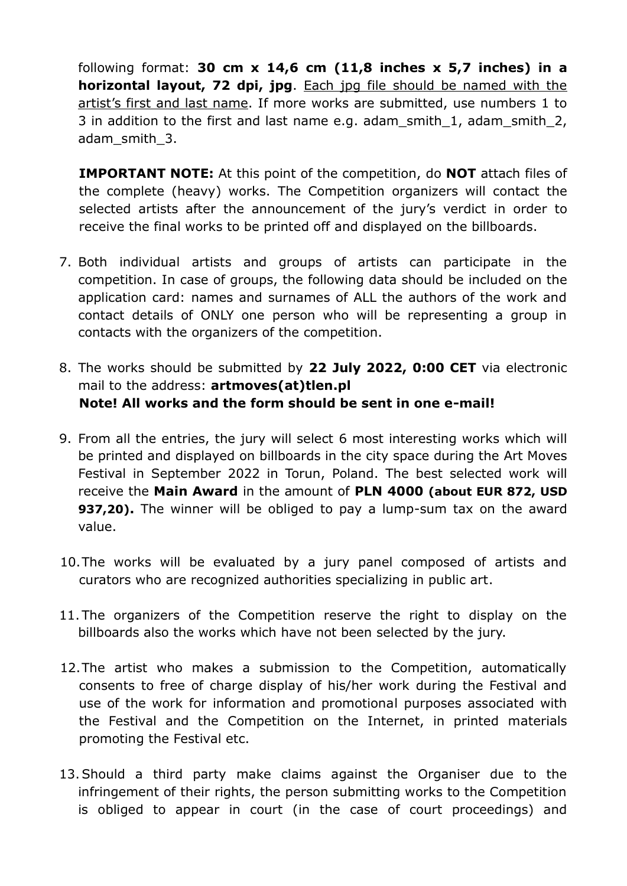following format: **30 cm x 14,6 cm (11,8 inches x 5,7 inches) in a horizontal layout, 72 dpi, jpg**. Each jpg file should be named with the artist's first and last name. If more works are submitted, use numbers 1 to 3 in addition to the first and last name e.g. adam\_smith\_1, adam\_smith\_2, adam\_smith\_3.

**IMPORTANT NOTE:** At this point of the competition, do **NOT** attach files of the complete (heavy) works. The Competition organizers will contact the selected artists after the announcement of the jury's verdict in order to receive the final works to be printed off and displayed on the billboards.

- 7. Both individual artists and groups of artists can participate in the competition. In case of groups, the following data should be included on the application card: names and surnames of ALL the authors of the work and contact details of ONLY one person who will be representing a group in contacts with the organizers of the competition.
- 8. The works should be submitted by **22 July 2022, 0:00 CET** via electronic mail to the address: **artmoves(at)tlen.pl Note! All works and the form should be sent in one e-mail!**
- 9. From all the entries, the jury will select 6 most interesting works which will be printed and displayed on billboards in the city space during the Art Moves Festival in September 2022 in Torun, Poland. The best selected work will receive the **Main Award** in the amount of **PLN 4000 (about EUR 872, USD 937,20).** The winner will be obliged to pay a lump-sum tax on the award value.
- 10.The works will be evaluated by a jury panel composed of artists and curators who are recognized authorities specializing in public art.
- 11.The organizers of the Competition reserve the right to display on the billboards also the works which have not been selected by the jury.
- 12.The artist who makes a submission to the Competition, automatically consents to free of charge display of his/her work during the Festival and use of the work for information and promotional purposes associated with the Festival and the Competition on the Internet, in printed materials promoting the Festival etc.
- 13.Should a third party make claims against the Organiser due to the infringement of their rights, the person submitting works to the Competition is obliged to appear in court (in the case of court proceedings) and